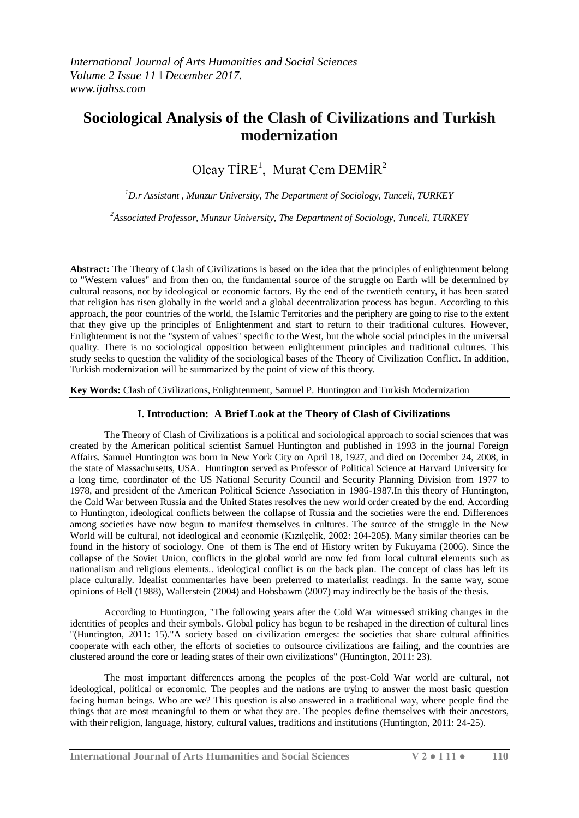# **Sociological Analysis of the Clash of Civilizations and Turkish modernization**

Olcay TİRE<sup>1</sup>, Murat Cem DEMİR<sup>2</sup>

*<sup>1</sup>D.r Assistant , Munzur University, The Department of Sociology, Tunceli, TURKEY*

*<sup>2</sup>Associated Professor, Munzur University, The Department of Sociology, Tunceli, TURKEY*

**Abstract:** The Theory of Clash of Civilizations is based on the idea that the principles of enlightenment belong to "Western values" and from then on, the fundamental source of the struggle on Earth will be determined by cultural reasons, not by ideological or economic factors. By the end of the twentieth century, it has been stated that religion has risen globally in the world and a global decentralization process has begun. According to this approach, the poor countries of the world, the Islamic Territories and the periphery are going to rise to the extent that they give up the principles of Enlightenment and start to return to their traditional cultures. However, Enlightenment is not the "system of values" specific to the West, but the whole social principles in the universal quality. There is no sociological opposition between enlightenment principles and traditional cultures. This study seeks to question the validity of the sociological bases of the Theory of Civilization Conflict. In addition, Turkish modernization will be summarized by the point of view of this theory.

**Key Words:** Clash of Civilizations, Enlightenment, Samuel P. Huntington and Turkish Modernization

## **I. Introduction: A Brief Look at the Theory of Clash of Civilizations**

The Theory of Clash of Civilizations is a political and sociological approach to social sciences that was created by the American political scientist Samuel Huntington and published in 1993 in the journal Foreign Affairs. Samuel Huntington was born in New York City on April 18, 1927, and died on December 24, 2008, in the state of Massachusetts, USA. Huntington served as Professor of Political Science at Harvard University for a long time, coordinator of the US National Security Council and Security Planning Division from 1977 to 1978, and president of the American Political Science Association in 1986-1987.In this theory of Huntington, the Cold War between Russia and the United States resolves the new world order created by the end. According to Huntington, ideological conflicts between the collapse of Russia and the societies were the end. Differences among societies have now begun to manifest themselves in cultures. The source of the struggle in the New World will be cultural, not ideological and economic (Kızılçelik, 2002: 204-205). Many similar theories can be found in the history of sociology. One of them is The end of History writen by Fukuyama (2006). Since the collapse of the Soviet Union, conflicts in the global world are now fed from local cultural elements such as nationalism and religious elements.. ideological conflict is on the back plan. The concept of class has left its place culturally. Idealist commentaries have been preferred to materialist readings. In the same way, some opinions of Bell (1988), Wallerstein (2004) and Hobsbawm (2007) may indirectly be the basis of the thesis.

According to Huntington, "The following years after the Cold War witnessed striking changes in the identities of peoples and their symbols. Global policy has begun to be reshaped in the direction of cultural lines "(Huntington, 2011: 15)."A society based on civilization emerges: the societies that share cultural affinities cooperate with each other, the efforts of societies to outsource civilizations are failing, and the countries are clustered around the core or leading states of their own civilizations" (Huntington, 2011: 23).

The most important differences among the peoples of the post-Cold War world are cultural, not ideological, political or economic. The peoples and the nations are trying to answer the most basic question facing human beings. Who are we? This question is also answered in a traditional way, where people find the things that are most meaningful to them or what they are. The peoples define themselves with their ancestors, with their religion, language, history, cultural values, traditions and institutions (Huntington, 2011: 24-25).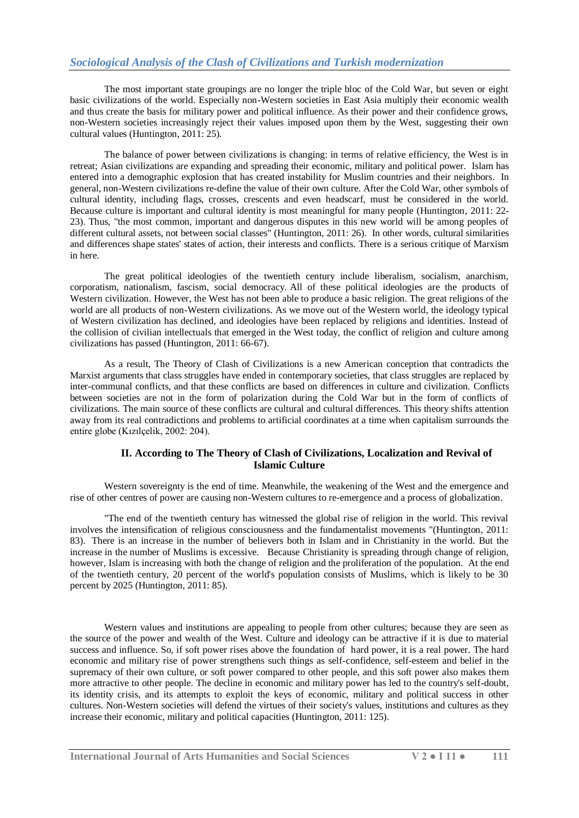The most important state groupings are no longer the triple bloc of the Cold War, but seven or eight basic civilizations of the world. Especially non-Western societies in East Asia multiply their economic wealth and thus create the basis for military power and political influence. As their power and their confidence grows, non-Western societies increasingly reject their values imposed upon them by the West, suggesting their own cultural values (Huntington, 2011: 25).

The balance of power between civilizations is changing: in terms of relative efficiency, the West is in retreat; Asian civilizations are expanding and spreading their economic, military and political power. Islam has entered into a demographic explosion that has created instability for Muslim countries and their neighbors. In general, non-Western civilizations re-define the value of their own culture. After the Cold War, other symbols of cultural identity, including flags, crosses, crescents and even headscarf, must be considered in the world. Because culture is important and cultural identity is most meaningful for many people (Huntington, 2011: 22- 23). Thus, "the most common, important and dangerous disputes in this new world will be among peoples of different cultural assets, not between social classes" (Huntington, 2011: 26). In other words, cultural similarities and differences shape states' states of action, their interests and conflicts. There is a serious critique of Marxism in here.

The great political ideologies of the twentieth century include liberalism, socialism, anarchism, corporatism, nationalism, fascism, social democracy. All of these political ideologies are the products of Western civilization. However, the West has not been able to produce a basic religion. The great religions of the world are all products of non-Western civilizations. As we move out of the Western world, the ideology typical of Western civilization has declined, and ideologies have been replaced by religions and identities. Instead of the collision of civilian intellectuals that emerged in the West today, the conflict of religion and culture among civilizations has passed (Huntington, 2011: 66-67).

As a result, The Theory of Clash of Civilizations is a new American conception that contradicts the Marxist arguments that class struggles have ended in contemporary societies, that class struggles are replaced by inter-communal conflicts, and that these conflicts are based on differences in culture and civilization. Conflicts between societies are not in the form of polarization during the Cold War but in the form of conflicts of civilizations. The main source of these conflicts are cultural and cultural differences. This theory shifts attention away from its real contradictions and problems to artificial coordinates at a time when capitalism surrounds the entire globe (Kızılçelik, 2002: 204).

## **II. According to The Theory of Clash of Civilizations, Localization and Revival of Islamic Culture**

Western sovereignty is the end of time. Meanwhile, the weakening of the West and the emergence and rise of other centres of power are causing non-Western cultures to re-emergence and a process of globalization.

"The end of the twentieth century has witnessed the global rise of religion in the world. This revival involves the intensification of religious consciousness and the fundamentalist movements "(Huntington, 2011: 83). There is an increase in the number of believers both in Islam and in Christianity in the world. But the increase in the number of Muslims is excessive. Because Christianity is spreading through change of religion, however, Islam is increasing with both the change of religion and the proliferation of the population. At the end of the twentieth century, 20 percent of the world's population consists of Muslims, which is likely to be 30 percent by 2025 (Huntington, 2011: 85).

Western values and institutions are appealing to people from other cultures; because they are seen as the source of the power and wealth of the West. Culture and ideology can be attractive if it is due to material success and influence. So, if soft power rises above the foundation of hard power, it is a real power. The hard economic and military rise of power strengthens such things as self-confidence, self-esteem and belief in the supremacy of their own culture, or soft power compared to other people, and this soft power also makes them more attractive to other people. The decline in economic and military power has led to the country's self-doubt, its identity crisis, and its attempts to exploit the keys of economic, military and political success in other cultures. Non-Western societies will defend the virtues of their society's values, institutions and cultures as they increase their economic, military and political capacities (Huntington, 2011: 125).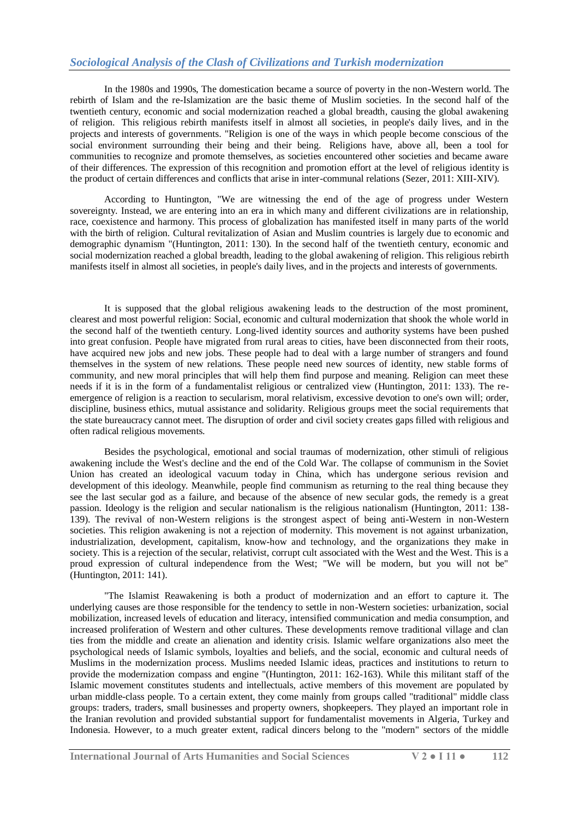# *Sociological Analysis of the Clash of Civilizations and Turkish modernization*

In the 1980s and 1990s, The domestication became a source of poverty in the non-Western world. The rebirth of Islam and the re-Islamization are the basic theme of Muslim societies. In the second half of the twentieth century, economic and social modernization reached a global breadth, causing the global awakening of religion. This religious rebirth manifests itself in almost all societies, in people's daily lives, and in the projects and interests of governments. "Religion is one of the ways in which people become conscious of the social environment surrounding their being and their being. Religions have, above all, been a tool for communities to recognize and promote themselves, as societies encountered other societies and became aware of their differences. The expression of this recognition and promotion effort at the level of religious identity is the product of certain differences and conflicts that arise in inter-communal relations (Sezer, 2011: XIII-XIV).

According to Huntington, "We are witnessing the end of the age of progress under Western sovereignty. Instead, we are entering into an era in which many and different civilizations are in relationship, race, coexistence and harmony. This process of globalization has manifested itself in many parts of the world with the birth of religion. Cultural revitalization of Asian and Muslim countries is largely due to economic and demographic dynamism "(Huntington, 2011: 130). In the second half of the twentieth century, economic and social modernization reached a global breadth, leading to the global awakening of religion. This religious rebirth manifests itself in almost all societies, in people's daily lives, and in the projects and interests of governments.

It is supposed that the global religious awakening leads to the destruction of the most prominent, clearest and most powerful religion: Social, economic and cultural modernization that shook the whole world in the second half of the twentieth century. Long-lived identity sources and authority systems have been pushed into great confusion. People have migrated from rural areas to cities, have been disconnected from their roots, have acquired new jobs and new jobs. These people had to deal with a large number of strangers and found themselves in the system of new relations. These people need new sources of identity, new stable forms of community, and new moral principles that will help them find purpose and meaning. Religion can meet these needs if it is in the form of a fundamentalist religious or centralized view (Huntington, 2011: 133). The reemergence of religion is a reaction to secularism, moral relativism, excessive devotion to one's own will; order, discipline, business ethics, mutual assistance and solidarity. Religious groups meet the social requirements that the state bureaucracy cannot meet. The disruption of order and civil society creates gaps filled with religious and often radical religious movements.

Besides the psychological, emotional and social traumas of modernization, other stimuli of religious awakening include the West's decline and the end of the Cold War. The collapse of communism in the Soviet Union has created an ideological vacuum today in China, which has undergone serious revision and development of this ideology. Meanwhile, people find communism as returning to the real thing because they see the last secular god as a failure, and because of the absence of new secular gods, the remedy is a great passion. Ideology is the religion and secular nationalism is the religious nationalism (Huntington, 2011: 138- 139). The revival of non-Western religions is the strongest aspect of being anti-Western in non-Western societies. This religion awakening is not a rejection of modernity. This movement is not against urbanization, industrialization, development, capitalism, know-how and technology, and the organizations they make in society. This is a rejection of the secular, relativist, corrupt cult associated with the West and the West. This is a proud expression of cultural independence from the West; "We will be modern, but you will not be" (Huntington, 2011: 141).

"The Islamist Reawakening is both a product of modernization and an effort to capture it. The underlying causes are those responsible for the tendency to settle in non-Western societies: urbanization, social mobilization, increased levels of education and literacy, intensified communication and media consumption, and increased proliferation of Western and other cultures. These developments remove traditional village and clan ties from the middle and create an alienation and identity crisis. Islamic welfare organizations also meet the psychological needs of Islamic symbols, loyalties and beliefs, and the social, economic and cultural needs of Muslims in the modernization process. Muslims needed Islamic ideas, practices and institutions to return to provide the modernization compass and engine "(Huntington, 2011: 162-163). While this militant staff of the Islamic movement constitutes students and intellectuals, active members of this movement are populated by urban middle-class people. To a certain extent, they come mainly from groups called "traditional" middle class groups: traders, traders, small businesses and property owners, shopkeepers. They played an important role in the Iranian revolution and provided substantial support for fundamentalist movements in Algeria, Turkey and Indonesia. However, to a much greater extent, radical dincers belong to the "modern" sectors of the middle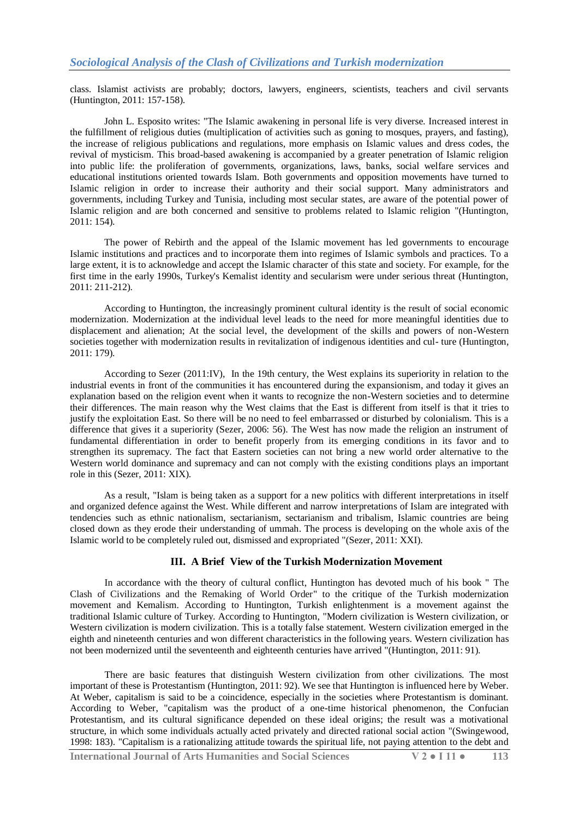class. Islamist activists are probably; doctors, lawyers, engineers, scientists, teachers and civil servants (Huntington, 2011: 157-158).

John L. Esposito writes: "The Islamic awakening in personal life is very diverse. Increased interest in the fulfillment of religious duties (multiplication of activities such as goning to mosques, prayers, and fasting), the increase of religious publications and regulations, more emphasis on Islamic values and dress codes, the revival of mysticism. This broad-based awakening is accompanied by a greater penetration of Islamic religion into public life: the proliferation of governments, organizations, laws, banks, social welfare services and educational institutions oriented towards Islam. Both governments and opposition movements have turned to Islamic religion in order to increase their authority and their social support. Many administrators and governments, including Turkey and Tunisia, including most secular states, are aware of the potential power of Islamic religion and are both concerned and sensitive to problems related to Islamic religion "(Huntington, 2011: 154).

The power of Rebirth and the appeal of the Islamic movement has led governments to encourage Islamic institutions and practices and to incorporate them into regimes of Islamic symbols and practices. To a large extent, it is to acknowledge and accept the Islamic character of this state and society. For example, for the first time in the early 1990s, Turkey's Kemalist identity and secularism were under serious threat (Huntington, 2011: 211-212).

According to Huntington, the increasingly prominent cultural identity is the result of social economic modernization. Modernization at the individual level leads to the need for more meaningful identities due to displacement and alienation; At the social level, the development of the skills and powers of non-Western societies together with modernization results in revitalization of indigenous identities and cul- ture (Huntington, 2011: 179).

According to Sezer (2011:IV), In the 19th century, the West explains its superiority in relation to the industrial events in front of the communities it has encountered during the expansionism, and today it gives an explanation based on the religion event when it wants to recognize the non-Western societies and to determine their differences. The main reason why the West claims that the East is different from itself is that it tries to justify the exploitation East. So there will be no need to feel embarrassed or disturbed by colonialism. This is a difference that gives it a superiority (Sezer, 2006: 56). The West has now made the religion an instrument of fundamental differentiation in order to benefit properly from its emerging conditions in its favor and to strengthen its supremacy. The fact that Eastern societies can not bring a new world order alternative to the Western world dominance and supremacy and can not comply with the existing conditions plays an important role in this (Sezer, 2011: XIX).

As a result, "Islam is being taken as a support for a new politics with different interpretations in itself and organized defence against the West. While different and narrow interpretations of Islam are integrated with tendencies such as ethnic nationalism, sectarianism, sectarianism and tribalism, Islamic countries are being closed down as they erode their understanding of ummah. The process is developing on the whole axis of the Islamic world to be completely ruled out, dismissed and expropriated "(Sezer, 2011: XXI).

### **III. A Brief View of the Turkish Modernization Movement**

In accordance with the theory of cultural conflict, Huntington has devoted much of his book " The Clash of Civilizations and the Remaking of World Order" to the critique of the Turkish modernization movement and Kemalism. According to Huntington, Turkish enlightenment is a movement against the traditional Islamic culture of Turkey. According to Huntington, "Modern civilization is Western civilization, or Western civilization is modern civilization. This is a totally false statement. Western civilization emerged in the eighth and nineteenth centuries and won different characteristics in the following years. Western civilization has not been modernized until the seventeenth and eighteenth centuries have arrived "(Huntington, 2011: 91).

There are basic features that distinguish Western civilization from other civilizations. The most important of these is Protestantism (Huntington, 2011: 92). We see that Huntington is influenced here by Weber. At Weber, capitalism is said to be a coincidence, especially in the societies where Protestantism is dominant. According to Weber, "capitalism was the product of a one-time historical phenomenon, the Confucian Protestantism, and its cultural significance depended on these ideal origins; the result was a motivational structure, in which some individuals actually acted privately and directed rational social action "(Swingewood, 1998: 183). "Capitalism is a rationalizing attitude towards the spiritual life, not paying attention to the debt and

**International Journal of Arts Humanities and Social Sciences V 2 ● I 11 ● 113**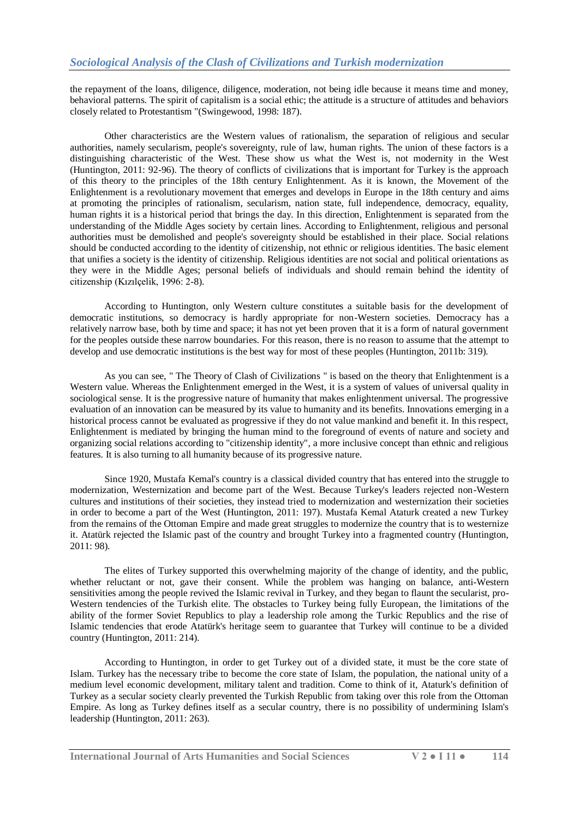the repayment of the loans, diligence, diligence, moderation, not being idle because it means time and money, behavioral patterns. The spirit of capitalism is a social ethic; the attitude is a structure of attitudes and behaviors closely related to Protestantism "(Swingewood, 1998: 187).

Other characteristics are the Western values of rationalism, the separation of religious and secular authorities, namely secularism, people's sovereignty, rule of law, human rights. The union of these factors is a distinguishing characteristic of the West. These show us what the West is, not modernity in the West (Huntington, 2011: 92-96). The theory of conflicts of civilizations that is important for Turkey is the approach of this theory to the principles of the 18th century Enlightenment. As it is known, the Movement of the Enlightenment is a revolutionary movement that emerges and develops in Europe in the 18th century and aims at promoting the principles of rationalism, secularism, nation state, full independence, democracy, equality, human rights it is a historical period that brings the day. In this direction, Enlightenment is separated from the understanding of the Middle Ages society by certain lines. According to Enlightenment, religious and personal authorities must be demolished and people's sovereignty should be established in their place. Social relations should be conducted according to the identity of citizenship, not ethnic or religious identities. The basic element that unifies a society is the identity of citizenship. Religious identities are not social and political orientations as they were in the Middle Ages; personal beliefs of individuals and should remain behind the identity of citizenship (Kızılçelik, 1996: 2-8).

According to Huntington, only Western culture constitutes a suitable basis for the development of democratic institutions, so democracy is hardly appropriate for non-Western societies. Democracy has a relatively narrow base, both by time and space; it has not yet been proven that it is a form of natural government for the peoples outside these narrow boundaries. For this reason, there is no reason to assume that the attempt to develop and use democratic institutions is the best way for most of these peoples (Huntington, 2011b: 319).

As you can see, " The Theory of Clash of Civilizations " is based on the theory that Enlightenment is a Western value. Whereas the Enlightenment emerged in the West, it is a system of values of universal quality in sociological sense. It is the progressive nature of humanity that makes enlightenment universal. The progressive evaluation of an innovation can be measured by its value to humanity and its benefits. Innovations emerging in a historical process cannot be evaluated as progressive if they do not value mankind and benefit it. In this respect, Enlightenment is mediated by bringing the human mind to the foreground of events of nature and society and organizing social relations according to "citizenship identity", a more inclusive concept than ethnic and religious features. It is also turning to all humanity because of its progressive nature.

Since 1920, Mustafa Kemal's country is a classical divided country that has entered into the struggle to modernization, Westernization and become part of the West. Because Turkey's leaders rejected non-Western cultures and institutions of their societies, they instead tried to modernization and westernization their societies in order to become a part of the West (Huntington, 2011: 197). Mustafa Kemal Ataturk created a new Turkey from the remains of the Ottoman Empire and made great struggles to modernize the country that is to westernize it. Atatürk rejected the Islamic past of the country and brought Turkey into a fragmented country (Huntington, 2011: 98).

The elites of Turkey supported this overwhelming majority of the change of identity, and the public, whether reluctant or not, gave their consent. While the problem was hanging on balance, anti-Western sensitivities among the people revived the Islamic revival in Turkey, and they began to flaunt the secularist, pro-Western tendencies of the Turkish elite. The obstacles to Turkey being fully European, the limitations of the ability of the former Soviet Republics to play a leadership role among the Turkic Republics and the rise of Islamic tendencies that erode Atatürk's heritage seem to guarantee that Turkey will continue to be a divided country (Huntington, 2011: 214).

According to Huntington, in order to get Turkey out of a divided state, it must be the core state of Islam. Turkey has the necessary tribe to become the core state of Islam, the population, the national unity of a medium level economic development, military talent and tradition. Come to think of it, Ataturk's definition of Turkey as a secular society clearly prevented the Turkish Republic from taking over this role from the Ottoman Empire. As long as Turkey defines itself as a secular country, there is no possibility of undermining Islam's leadership (Huntington, 2011: 263).